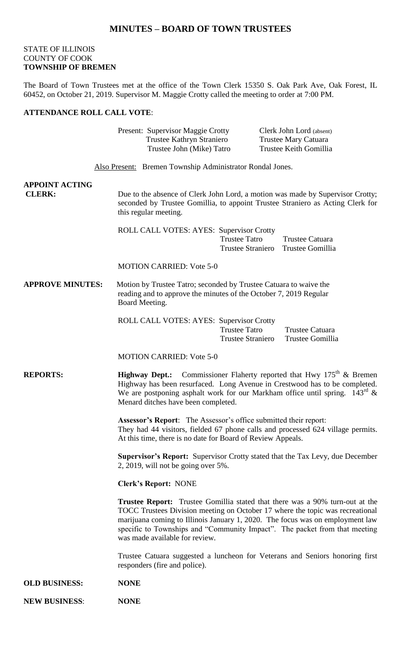## **MINUTES – BOARD OF TOWN TRUSTEES**

### STATE OF ILLINOIS COUNTY OF COOK **TOWNSHIP OF BREMEN**

The Board of Town Trustees met at the office of the Town Clerk 15350 S. Oak Park Ave, Oak Forest, IL 60452, on October 21, 2019. Supervisor M. Maggie Crotty called the meeting to order at 7:00 PM.

### **ATTENDANCE ROLL CALL VOTE**:

|                                        | Present: Supervisor Maggie Crotty<br>Trustee Kathryn Straniero<br>Trustee John (Mike) Tatro                                                                                                                                                                                                                                                                           |                                                  | Clerk John Lord (absent)<br><b>Trustee Mary Catuara</b><br>Trustee Keith Gomillia |  |
|----------------------------------------|-----------------------------------------------------------------------------------------------------------------------------------------------------------------------------------------------------------------------------------------------------------------------------------------------------------------------------------------------------------------------|--------------------------------------------------|-----------------------------------------------------------------------------------|--|
|                                        | Also Present: Bremen Township Administrator Rondal Jones.                                                                                                                                                                                                                                                                                                             |                                                  |                                                                                   |  |
| <b>APPOINT ACTING</b><br><b>CLERK:</b> | Due to the absence of Clerk John Lord, a motion was made by Supervisor Crotty;<br>seconded by Trustee Gomillia, to appoint Trustee Straniero as Acting Clerk for<br>this regular meeting.                                                                                                                                                                             |                                                  |                                                                                   |  |
|                                        | ROLL CALL VOTES: AYES: Supervisor Crotty                                                                                                                                                                                                                                                                                                                              | <b>Trustee Tatro</b>                             | Trustee Catuara<br>Trustee Straniero Trustee Gomillia                             |  |
|                                        | <b>MOTION CARRIED: Vote 5-0</b>                                                                                                                                                                                                                                                                                                                                       |                                                  |                                                                                   |  |
| <b>APPROVE MINUTES:</b>                | Motion by Trustee Tatro; seconded by Trustee Catuara to waive the<br>reading and to approve the minutes of the October 7, 2019 Regular<br>Board Meeting.                                                                                                                                                                                                              |                                                  |                                                                                   |  |
|                                        | ROLL CALL VOTES: AYES: Supervisor Crotty                                                                                                                                                                                                                                                                                                                              | <b>Trustee Tatro</b><br><b>Trustee Straniero</b> | Trustee Catuara<br>Trustee Gomillia                                               |  |
|                                        | <b>MOTION CARRIED: Vote 5-0</b>                                                                                                                                                                                                                                                                                                                                       |                                                  |                                                                                   |  |
| <b>REPORTS:</b>                        | <b>Highway Dept.:</b> Commissioner Flaherty reported that Hwy $175^{th}$ & Bremen<br>Highway has been resurfaced. Long Avenue in Crestwood has to be completed.<br>We are postponing asphalt work for our Markham office until spring. $143^{\text{rd}}$ &<br>Menard ditches have been completed.                                                                     |                                                  |                                                                                   |  |
|                                        | <b>Assessor's Report:</b> The Assessor's office submitted their report:<br>At this time, there is no date for Board of Review Appeals.                                                                                                                                                                                                                                |                                                  | They had 44 visitors, fielded 67 phone calls and processed 624 village permits.   |  |
|                                        | <b>Supervisor's Report:</b> Supervisor Crotty stated that the Tax Levy, due December<br>2, 2019, will not be going over $5\%$ .                                                                                                                                                                                                                                       |                                                  |                                                                                   |  |
|                                        | <b>Clerk's Report: NONE</b>                                                                                                                                                                                                                                                                                                                                           |                                                  |                                                                                   |  |
|                                        | <b>Trustee Report:</b> Trustee Gomillia stated that there was a 90% turn-out at the<br>TOCC Trustees Division meeting on October 17 where the topic was recreational<br>marijuana coming to Illinois January 1, 2020. The focus was on employment law<br>specific to Townships and "Community Impact". The packet from that meeting<br>was made available for review. |                                                  |                                                                                   |  |
|                                        | responders (fire and police).                                                                                                                                                                                                                                                                                                                                         |                                                  | Trustee Catuara suggested a luncheon for Veterans and Seniors honoring first      |  |
| <b>OLD BUSINESS:</b>                   | <b>NONE</b>                                                                                                                                                                                                                                                                                                                                                           |                                                  |                                                                                   |  |
| <b>NEW BUSINESS:</b>                   | <b>NONE</b>                                                                                                                                                                                                                                                                                                                                                           |                                                  |                                                                                   |  |